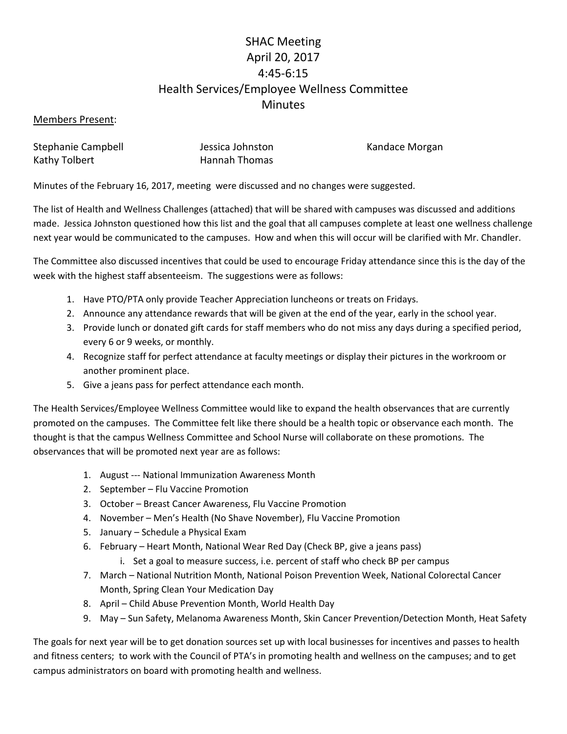# SHAC Meeting April 20, 2017 4:45-6:15 Health Services/Employee Wellness Committee **Minutes**

### Members Present:

| Stephanie Campbell | Jessica Johnston     |
|--------------------|----------------------|
| Kathy Tolbert      | <b>Hannah Thomas</b> |

ston Gampbell Jessica Campbell Candace Morgani

Minutes of the February 16, 2017, meeting were discussed and no changes were suggested.

The list of Health and Wellness Challenges (attached) that will be shared with campuses was discussed and additions made. Jessica Johnston questioned how this list and the goal that all campuses complete at least one wellness challenge next year would be communicated to the campuses. How and when this will occur will be clarified with Mr. Chandler.

The Committee also discussed incentives that could be used to encourage Friday attendance since this is the day of the week with the highest staff absenteeism. The suggestions were as follows:

- 1. Have PTO/PTA only provide Teacher Appreciation luncheons or treats on Fridays.
- 2. Announce any attendance rewards that will be given at the end of the year, early in the school year.
- 3. Provide lunch or donated gift cards for staff members who do not miss any days during a specified period, every 6 or 9 weeks, or monthly.
- 4. Recognize staff for perfect attendance at faculty meetings or display their pictures in the workroom or another prominent place.
- 5. Give a jeans pass for perfect attendance each month.

The Health Services/Employee Wellness Committee would like to expand the health observances that are currently promoted on the campuses. The Committee felt like there should be a health topic or observance each month. The thought is that the campus Wellness Committee and School Nurse will collaborate on these promotions. The observances that will be promoted next year are as follows:

- 1. August --- National Immunization Awareness Month
- 2. September Flu Vaccine Promotion
- 3. October Breast Cancer Awareness, Flu Vaccine Promotion
- 4. November Men's Health (No Shave November), Flu Vaccine Promotion
- 5. January Schedule a Physical Exam
- 6. February Heart Month, National Wear Red Day (Check BP, give a jeans pass)
	- i. Set a goal to measure success, i.e. percent of staff who check BP per campus
- 7. March National Nutrition Month, National Poison Prevention Week, National Colorectal Cancer Month, Spring Clean Your Medication Day
- 8. April Child Abuse Prevention Month, World Health Day
- 9. May Sun Safety, Melanoma Awareness Month, Skin Cancer Prevention/Detection Month, Heat Safety

The goals for next year will be to get donation sources set up with local businesses for incentives and passes to health and fitness centers; to work with the Council of PTA's in promoting health and wellness on the campuses; and to get campus administrators on board with promoting health and wellness.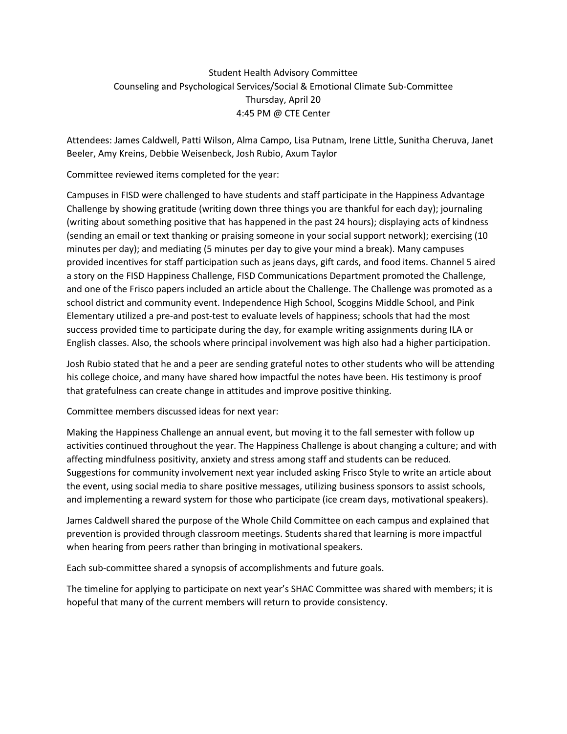### Student Health Advisory Committee Counseling and Psychological Services/Social & Emotional Climate Sub-Committee Thursday, April 20 4:45 PM @ CTE Center

Attendees: James Caldwell, Patti Wilson, Alma Campo, Lisa Putnam, Irene Little, Sunitha Cheruva, Janet Beeler, Amy Kreins, Debbie Weisenbeck, Josh Rubio, Axum Taylor

Committee reviewed items completed for the year:

Campuses in FISD were challenged to have students and staff participate in the Happiness Advantage Challenge by showing gratitude (writing down three things you are thankful for each day); journaling (writing about something positive that has happened in the past 24 hours); displaying acts of kindness (sending an email or text thanking or praising someone in your social support network); exercising (10 minutes per day); and mediating (5 minutes per day to give your mind a break). Many campuses provided incentives for staff participation such as jeans days, gift cards, and food items. Channel 5 aired a story on the FISD Happiness Challenge, FISD Communications Department promoted the Challenge, and one of the Frisco papers included an article about the Challenge. The Challenge was promoted as a school district and community event. Independence High School, Scoggins Middle School, and Pink Elementary utilized a pre-and post-test to evaluate levels of happiness; schools that had the most success provided time to participate during the day, for example writing assignments during ILA or English classes. Also, the schools where principal involvement was high also had a higher participation.

Josh Rubio stated that he and a peer are sending grateful notes to other students who will be attending his college choice, and many have shared how impactful the notes have been. His testimony is proof that gratefulness can create change in attitudes and improve positive thinking.

Committee members discussed ideas for next year:

Making the Happiness Challenge an annual event, but moving it to the fall semester with follow up activities continued throughout the year. The Happiness Challenge is about changing a culture; and with affecting mindfulness positivity, anxiety and stress among staff and students can be reduced. Suggestions for community involvement next year included asking Frisco Style to write an article about the event, using social media to share positive messages, utilizing business sponsors to assist schools, and implementing a reward system for those who participate (ice cream days, motivational speakers).

James Caldwell shared the purpose of the Whole Child Committee on each campus and explained that prevention is provided through classroom meetings. Students shared that learning is more impactful when hearing from peers rather than bringing in motivational speakers.

Each sub-committee shared a synopsis of accomplishments and future goals.

The timeline for applying to participate on next year's SHAC Committee was shared with members; it is hopeful that many of the current members will return to provide consistency.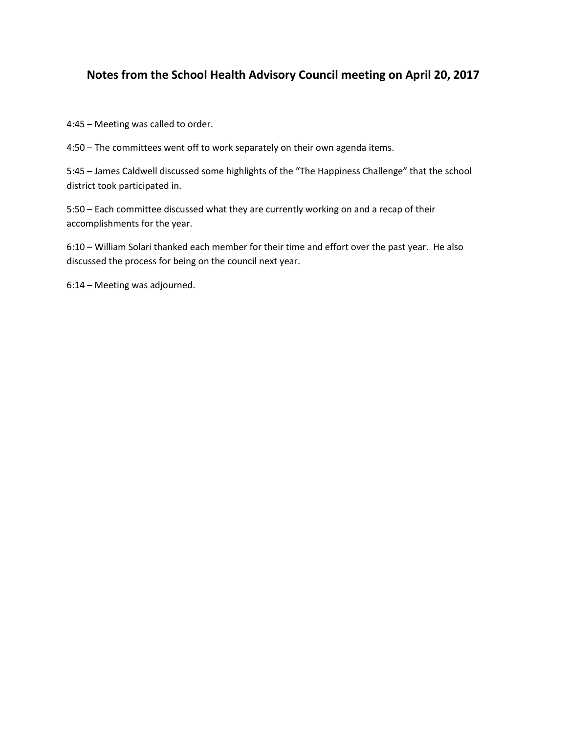## **Notes from the School Health Advisory Council meeting on April 20, 2017**

4:45 – Meeting was called to order.

4:50 – The committees went off to work separately on their own agenda items.

5:45 – James Caldwell discussed some highlights of the "The Happiness Challenge" that the school district took participated in.

5:50 – Each committee discussed what they are currently working on and a recap of their accomplishments for the year.

6:10 – William Solari thanked each member for their time and effort over the past year. He also discussed the process for being on the council next year.

6:14 – Meeting was adjourned.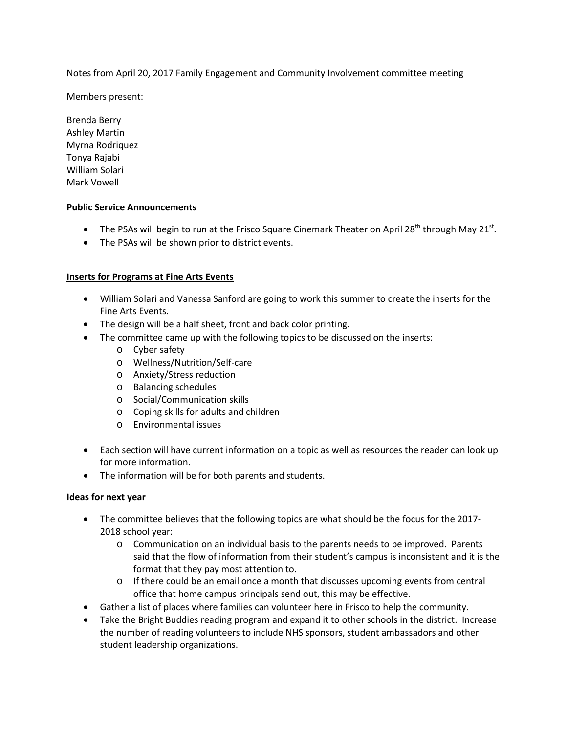Notes from April 20, 2017 Family Engagement and Community Involvement committee meeting

Members present:

Brenda Berry Ashley Martin Myrna Rodriquez Tonya Rajabi William Solari Mark Vowell

### **Public Service Announcements**

- The PSAs will begin to run at the Frisco Square Cinemark Theater on April 28<sup>th</sup> through May 21<sup>st</sup>.
- The PSAs will be shown prior to district events.

### **Inserts for Programs at Fine Arts Events**

- William Solari and Vanessa Sanford are going to work this summer to create the inserts for the Fine Arts Events.
- The design will be a half sheet, front and back color printing.
- The committee came up with the following topics to be discussed on the inserts:
	- o Cyber safety
	- o Wellness/Nutrition/Self-care
	- o Anxiety/Stress reduction
	- o Balancing schedules
	- o Social/Communication skills
	- o Coping skills for adults and children
	- o Environmental issues
- Each section will have current information on a topic as well as resources the reader can look up for more information.
- The information will be for both parents and students.

### **Ideas for next year**

- The committee believes that the following topics are what should be the focus for the 2017- 2018 school year:
	- o Communication on an individual basis to the parents needs to be improved. Parents said that the flow of information from their student's campus is inconsistent and it is the format that they pay most attention to.
	- $\circ$  If there could be an email once a month that discusses upcoming events from central office that home campus principals send out, this may be effective.
- Gather a list of places where families can volunteer here in Frisco to help the community.
- Take the Bright Buddies reading program and expand it to other schools in the district. Increase the number of reading volunteers to include NHS sponsors, student ambassadors and other student leadership organizations.